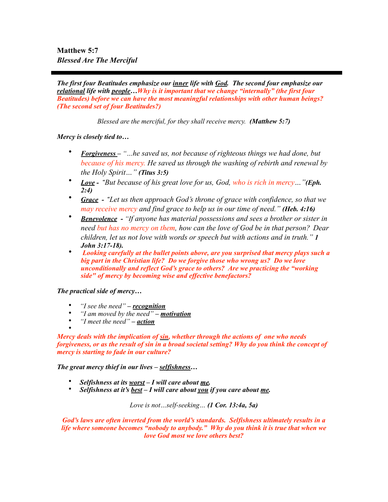**Matthew 5:7**  *Blessed Are The Merciful* 

*The first four Beatitudes emphasize our inner life with God. The second four emphasize our relational life with people…Why is it important that we change "internally" (the first four Beatitudes) before we can have the most meaningful relationships with other human beings? (The second set of four Beatitudes?)* 

*Blessed are the merciful, for they shall receive mercy. (Matthew 5:7)* 

*Mercy is closely tied to…* 

- *Forgiveness – "…he saved us, not because of righteous things we had done, but because of his mercy. He saved us through the washing of rebirth and renewal by the Holy Spirit…" (Titus 3:5)*
- *Love "But because of his great love for us, God, who is rich in mercy…"(Eph. 2:4)*
- *Grace "Let us then approach God's throne of grace with confidence, so that we may receive mercy and find grace to help us in our time of need." (Heb. 4:16)*
- *Benevolence "If anyone has material possessions and sees a brother or sister in need but has no mercy on them, how can the love of God be in that person? Dear children, let us not love with words or speech but with actions and in truth." 1 John 3:17-18).*
- *Looking carefully at the bullet points above, are you surprised that mercy plays such a big part in the Christian life? Do we forgive those who wrong us? Do we love unconditionally and reflect God's grace to others? Are we practicing the "working side" of mercy by becoming wise and effective benefactors?*

*The practical side of mercy…* 

- *"I see the need" recognition*
- *"I am moved by the need" motivation*
- *"I meet the need" action*

• *Mercy deals with the implication of sin, whether through the actions of one who needs forgiveness, or as the result of sin in a broad societal setting? Why do you think the concept of mercy is starting to fade in our culture?* 

*The great mercy thief in our lives – selfishness…* 

- *Selfishness at its worst I will care about me.*
- *Selfishness at it's best I will care about you if you care about me.*

*Love is not…self-seeking… (1 Cor. 13:4a, 5a)* 

*God's laws are often inverted from the world's standards. Selfishness ultimately results in a life where someone becomes "nobody to anybody." Why do you think it is true that when we love God most we love others best?*